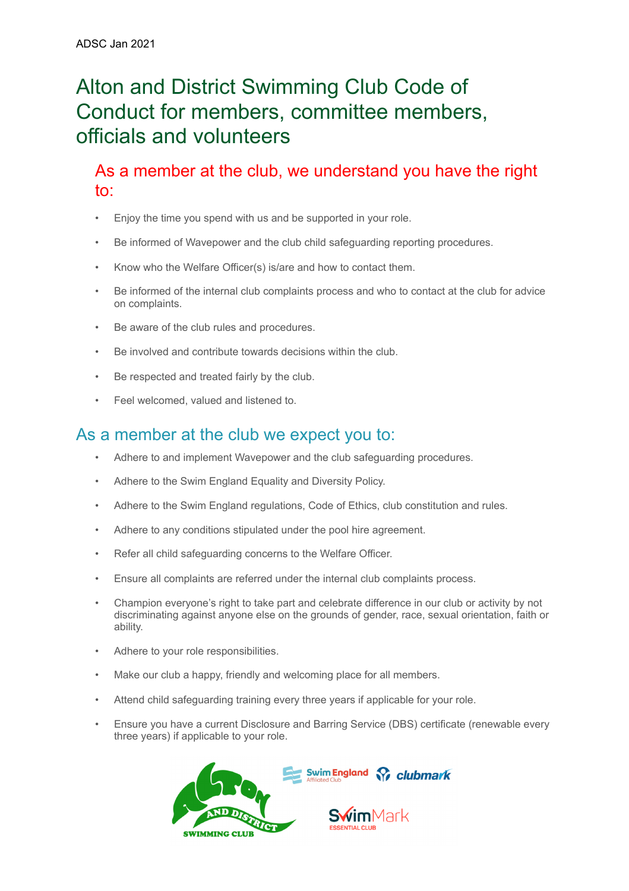# Alton and District Swimming Club Code of Conduct for members, committee members, officials and volunteers

As a member at the club, we understand you have the right to:

- Enjoy the time you spend with us and be supported in your role.
- Be informed of Wavepower and the club child safeguarding reporting procedures.
- Know who the Welfare Officer(s) is/are and how to contact them.
- Be informed of the internal club complaints process and who to contact at the club for advice on complaints.
- Be aware of the club rules and procedures.
- Be involved and contribute towards decisions within the club.
- Be respected and treated fairly by the club.
- Feel welcomed, valued and listened to.

# As a member at the club we expect you to:

- Adhere to and implement Wavepower and the club safeguarding procedures.
- Adhere to the Swim England Equality and Diversity Policy.
- Adhere to the Swim England regulations, Code of Ethics, club constitution and rules.
- Adhere to any conditions stipulated under the pool hire agreement.
- Refer all child safeguarding concerns to the Welfare Officer.
- Ensure all complaints are referred under the internal club complaints process.
- Champion everyone's right to take part and celebrate difference in our club or activity by not discriminating against anyone else on the grounds of gender, race, sexual orientation, faith or ability.
- Adhere to your role responsibilities.
- Make our club a happy, friendly and welcoming place for all members.
- Attend child safeguarding training every three years if applicable for your role.
- Ensure you have a current Disclosure and Barring Service (DBS) certificate (renewable every three years) if applicable to your role.